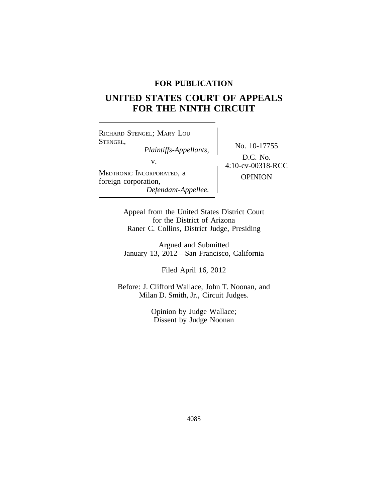# **FOR PUBLICATION**

# **UNITED STATES COURT OF APPEALS FOR THE NINTH CIRCUIT**

<sup>R</sup>ICHARD STENGEL; MARY LOU STENGEL, No. 10-17755 *Plaintiffs-Appellants,* MEDTRONIC INCORPORATED, a **OPINION** foreign corporation, *Defendant-Appellee.*

D.C. No. v.  $4:10$ -cv-00318-RCC

Appeal from the United States District Court for the District of Arizona Raner C. Collins, District Judge, Presiding

Argued and Submitted January 13, 2012—San Francisco, California

Filed April 16, 2012

Before: J. Clifford Wallace, John T. Noonan, and Milan D. Smith, Jr., Circuit Judges.

> Opinion by Judge Wallace; Dissent by Judge Noonan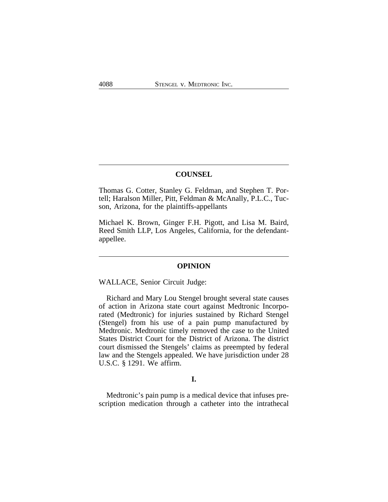## **COUNSEL**

Thomas G. Cotter, Stanley G. Feldman, and Stephen T. Portell; Haralson Miller, Pitt, Feldman & McAnally, P.L.C., Tucson, Arizona, for the plaintiffs-appellants

Michael K. Brown, Ginger F.H. Pigott, and Lisa M. Baird, Reed Smith LLP, Los Angeles, California, for the defendantappellee.

## **OPINION**

WALLACE, Senior Circuit Judge:

Richard and Mary Lou Stengel brought several state causes of action in Arizona state court against Medtronic Incorporated (Medtronic) for injuries sustained by Richard Stengel (Stengel) from his use of a pain pump manufactured by Medtronic. Medtronic timely removed the case to the United States District Court for the District of Arizona. The district court dismissed the Stengels' claims as preempted by federal law and the Stengels appealed. We have jurisdiction under 28 U.S.C. § 1291. We affirm.

## **I.**

Medtronic's pain pump is a medical device that infuses prescription medication through a catheter into the intrathecal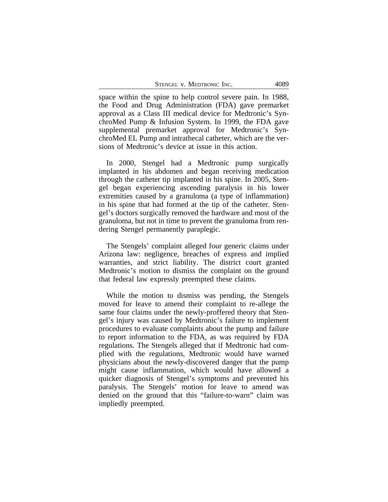| STENGEL V. MEDTRONIC INC. |  | 4089 |
|---------------------------|--|------|
|---------------------------|--|------|

space within the spine to help control severe pain. In 1988, the Food and Drug Administration (FDA) gave premarket approval as a Class III medical device for Medtronic's SynchroMed Pump & Infusion System. In 1999, the FDA gave supplemental premarket approval for Medtronic's SynchroMed EL Pump and intrathecal catheter, which are the versions of Medtronic's device at issue in this action.

In 2000, Stengel had a Medtronic pump surgically implanted in his abdomen and began receiving medication through the catheter tip implanted in his spine. In 2005, Stengel began experiencing ascending paralysis in his lower extremities caused by a granuloma (a type of inflammation) in his spine that had formed at the tip of the catheter. Stengel's doctors surgically removed the hardware and most of the granuloma, but not in time to prevent the granuloma from rendering Stengel permanently paraplegic.

The Stengels' complaint alleged four generic claims under Arizona law: negligence, breaches of express and implied warranties, and strict liability. The district court granted Medtronic's motion to dismiss the complaint on the ground that federal law expressly preempted these claims.

While the motion to dismiss was pending, the Stengels moved for leave to amend their complaint to re-allege the same four claims under the newly-proffered theory that Stengel's injury was caused by Medtronic's failure to implement procedures to evaluate complaints about the pump and failure to report information to the FDA, as was required by FDA regulations. The Stengels alleged that if Medtronic had complied with the regulations, Medtronic would have warned physicians about the newly-discovered danger that the pump might cause inflammation, which would have allowed a quicker diagnosis of Stengel's symptoms and prevented his paralysis. The Stengels' motion for leave to amend was denied on the ground that this "failure-to-warn" claim was impliedly preempted.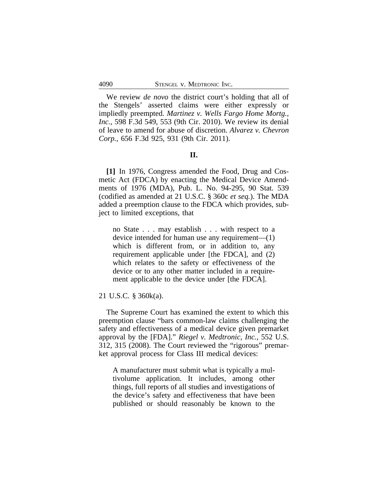We review *de novo* the district court's holding that all of the Stengels' asserted claims were either expressly or impliedly preempted. *Martinez v. Wells Fargo Home Mortg., Inc.*, 598 F.3d 549, 553 (9th Cir. 2010). We review its denial of leave to amend for abuse of discretion. *Alvarez v. Chevron Corp.*, 656 F.3d 925, 931 (9th Cir. 2011).

## **II.**

**[1]** In 1976, Congress amended the Food, Drug and Cosmetic Act (FDCA) by enacting the Medical Device Amendments of 1976 (MDA), Pub. L. No. 94-295, 90 Stat. 539 (codified as amended at 21 U.S.C. § 360c *et seq.*). The MDA added a preemption clause to the FDCA which provides, subject to limited exceptions, that

no State . . . may establish . . . with respect to a device intended for human use any requirement—(1) which is different from, or in addition to, any requirement applicable under [the FDCA], and (2) which relates to the safety or effectiveness of the device or to any other matter included in a requirement applicable to the device under [the FDCA].

#### 21 U.S.C. § 360k(a).

The Supreme Court has examined the extent to which this preemption clause "bars common-law claims challenging the safety and effectiveness of a medical device given premarket approval by the [FDA]." *Riegel v. Medtronic, Inc.*, 552 U.S. 312, 315 (2008). The Court reviewed the "rigorous" premarket approval process for Class III medical devices:

A manufacturer must submit what is typically a multivolume application. It includes, among other things, full reports of all studies and investigations of the device's safety and effectiveness that have been published or should reasonably be known to the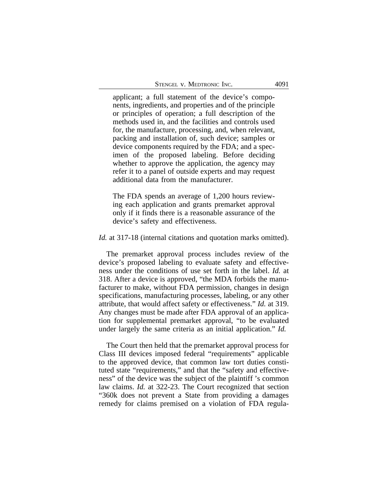applicant; a full statement of the device's components, ingredients, and properties and of the principle or principles of operation; a full description of the methods used in, and the facilities and controls used for, the manufacture, processing, and, when relevant, packing and installation of, such device; samples or device components required by the FDA; and a specimen of the proposed labeling. Before deciding whether to approve the application, the agency may refer it to a panel of outside experts and may request additional data from the manufacturer.

The FDA spends an average of 1,200 hours reviewing each application and grants premarket approval only if it finds there is a reasonable assurance of the device's safety and effectiveness.

*Id.* at 317-18 (internal citations and quotation marks omitted).

The premarket approval process includes review of the device's proposed labeling to evaluate safety and effectiveness under the conditions of use set forth in the label. *Id.* at 318. After a device is approved, "the MDA forbids the manufacturer to make, without FDA permission, changes in design specifications, manufacturing processes, labeling, or any other attribute, that would affect safety or effectiveness." *Id.* at 319. Any changes must be made after FDA approval of an application for supplemental premarket approval, "to be evaluated under largely the same criteria as an initial application." *Id.*

The Court then held that the premarket approval process for Class III devices imposed federal "requirements" applicable to the approved device, that common law tort duties constituted state "requirements," and that the "safety and effectiveness" of the device was the subject of the plaintiff 's common law claims. *Id.* at 322-23. The Court recognized that section "360k does not prevent a State from providing a damages remedy for claims premised on a violation of FDA regula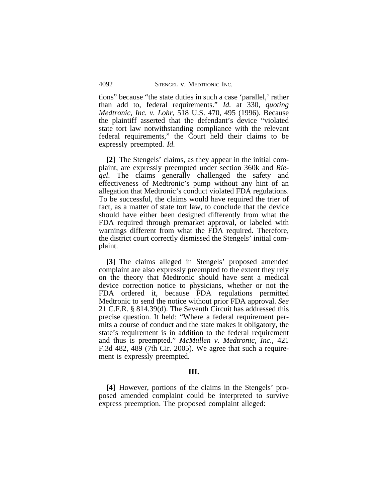tions" because "the state duties in such a case 'parallel,' rather than add to, federal requirements." *Id.* at 330, *quoting Medtronic, Inc. v. Lohr*, 518 U.S. 470, 495 (1996). Because the plaintiff asserted that the defendant's device "violated state tort law notwithstanding compliance with the relevant federal requirements," the Court held their claims to be expressly preempted. *Id.*

**[2]** The Stengels' claims, as they appear in the initial complaint, are expressly preempted under section 360k and *Riegel*. The claims generally challenged the safety and effectiveness of Medtronic's pump without any hint of an allegation that Medtronic's conduct violated FDA regulations. To be successful, the claims would have required the trier of fact, as a matter of state tort law, to conclude that the device should have either been designed differently from what the FDA required through premarket approval, or labeled with warnings different from what the FDA required. Therefore, the district court correctly dismissed the Stengels' initial complaint.

**[3]** The claims alleged in Stengels' proposed amended complaint are also expressly preempted to the extent they rely on the theory that Medtronic should have sent a medical device correction notice to physicians, whether or not the FDA ordered it, because FDA regulations permitted Medtronic to send the notice without prior FDA approval. *See* 21 C.F.R. § 814.39(d). The Seventh Circuit has addressed this precise question. It held: "Where a federal requirement permits a course of conduct and the state makes it obligatory, the state's requirement is in addition to the federal requirement and thus is preempted." *McMullen v. Medtronic, Inc.*, 421 F.3d 482, 489 (7th Cir. 2005). We agree that such a requirement is expressly preempted.

#### **III.**

**[4]** However, portions of the claims in the Stengels' proposed amended complaint could be interpreted to survive express preemption. The proposed complaint alleged: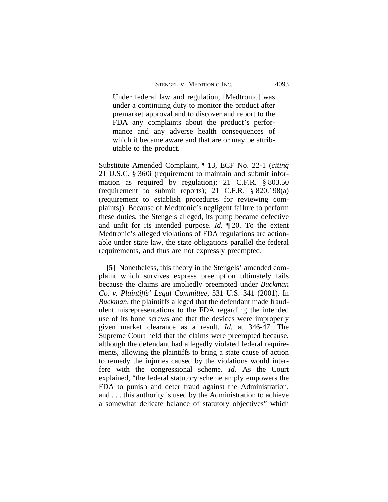Under federal law and regulation, [Medtronic] was under a continuing duty to monitor the product after premarket approval and to discover and report to the FDA any complaints about the product's performance and any adverse health consequences of which it became aware and that are or may be attributable to the product.

Substitute Amended Complaint, ¶ 13, ECF No. 22-1 (*citing* 21 U.S.C. § 360i (requirement to maintain and submit information as required by regulation); 21 C.F.R. § 803.50 (requirement to submit reports); 21 C.F.R. § 820.198(a) (requirement to establish procedures for reviewing complaints)). Because of Medtronic's negligent failure to perform these duties, the Stengels alleged, its pump became defective and unfit for its intended purpose. *Id.* ¶ 20. To the extent Medtronic's alleged violations of FDA regulations are actionable under state law, the state obligations parallel the federal requirements, and thus are not expressly preempted.

**[5]** Nonetheless, this theory in the Stengels' amended complaint which survives express preemption ultimately fails because the claims are impliedly preempted under *Buckman Co. v. Plaintiffs' Legal Committee*, 531 U.S. 341 (2001). In *Buckman*, the plaintiffs alleged that the defendant made fraudulent misrepresentations to the FDA regarding the intended use of its bone screws and that the devices were improperly given market clearance as a result. *Id.* at 346-47. The Supreme Court held that the claims were preempted because, although the defendant had allegedly violated federal requirements, allowing the plaintiffs to bring a state cause of action to remedy the injuries caused by the violations would interfere with the congressional scheme. *Id*. As the Court explained, "the federal statutory scheme amply empowers the FDA to punish and deter fraud against the Administration, and . . . this authority is used by the Administration to achieve a somewhat delicate balance of statutory objectives" which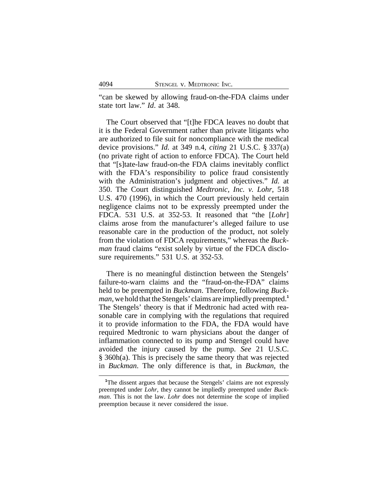"can be skewed by allowing fraud-on-the-FDA claims under state tort law." *Id*. at 348.

The Court observed that "[t]he FDCA leaves no doubt that it is the Federal Government rather than private litigants who are authorized to file suit for noncompliance with the medical device provisions." *Id.* at 349 n.4, *citing* 21 U.S.C. § 337(a) (no private right of action to enforce FDCA). The Court held that "[s]tate-law fraud-on-the FDA claims inevitably conflict with the FDA's responsibility to police fraud consistently with the Administration's judgment and objectives." *Id.* at 350. The Court distinguished *Medtronic, Inc. v. Lohr*, 518 U.S. 470 (1996), in which the Court previously held certain negligence claims not to be expressly preempted under the FDCA. 531 U.S. at 352-53. It reasoned that "the [*Lohr*] claims arose from the manufacturer's alleged failure to use reasonable care in the production of the product, not solely from the violation of FDCA requirements," whereas the *Buckman* fraud claims "exist solely by virtue of the FDCA disclosure requirements." 531 U.S. at 352-53.

There is no meaningful distinction between the Stengels' failure-to-warn claims and the "fraud-on-the-FDA" claims held to be preempted in *Buckman*. Therefore, following *Buckman*, we hold that the Stengels' claims are impliedly preempted.**<sup>1</sup>** The Stengels' theory is that if Medtronic had acted with reasonable care in complying with the regulations that required it to provide information to the FDA, the FDA would have required Medtronic to warn physicians about the danger of inflammation connected to its pump and Stengel could have avoided the injury caused by the pump. *See* 21 U.S.C. § 360h(a). This is precisely the same theory that was rejected in *Buckman*. The only difference is that, in *Buckman*, the

<sup>&</sup>lt;sup>1</sup>The dissent argues that because the Stengels' claims are not expressly preempted under *Lohr*, they cannot be impliedly preempted under *Buckman*. This is not the law. *Lohr* does not determine the scope of implied preemption because it never considered the issue.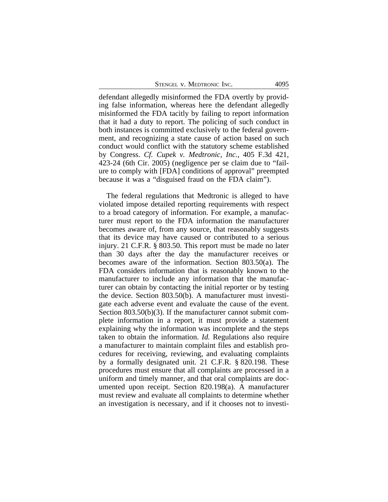| STENGEL V. MEDTRONIC INC.<br>4095 |  |
|-----------------------------------|--|
|-----------------------------------|--|

defendant allegedly misinformed the FDA overtly by providing false information, whereas here the defendant allegedly misinformed the FDA tacitly by failing to report information that it had a duty to report. The policing of such conduct in both instances is committed exclusively to the federal government, and recognizing a state cause of action based on such conduct would conflict with the statutory scheme established by Congress. *Cf. Cupek v. Medtronic, Inc.*, 405 F.3d 421, 423-24 (6th Cir. 2005) (negligence per se claim due to "failure to comply with [FDA] conditions of approval" preempted because it was a "disguised fraud on the FDA claim").

The federal regulations that Medtronic is alleged to have violated impose detailed reporting requirements with respect to a broad category of information. For example, a manufacturer must report to the FDA information the manufacturer becomes aware of, from any source, that reasonably suggests that its device may have caused or contributed to a serious injury. 21 C.F.R. § 803.50. This report must be made no later than 30 days after the day the manufacturer receives or becomes aware of the information. Section 803.50(a). The FDA considers information that is reasonably known to the manufacturer to include any information that the manufacturer can obtain by contacting the initial reporter or by testing the device. Section 803.50(b). A manufacturer must investigate each adverse event and evaluate the cause of the event. Section 803.50(b)(3). If the manufacturer cannot submit complete information in a report, it must provide a statement explaining why the information was incomplete and the steps taken to obtain the information. *Id.* Regulations also require a manufacturer to maintain complaint files and establish procedures for receiving, reviewing, and evaluating complaints by a formally designated unit. 21 C.F.R. § 820.198. These procedures must ensure that all complaints are processed in a uniform and timely manner, and that oral complaints are documented upon receipt. Section 820.198(a). A manufacturer must review and evaluate all complaints to determine whether an investigation is necessary, and if it chooses not to investi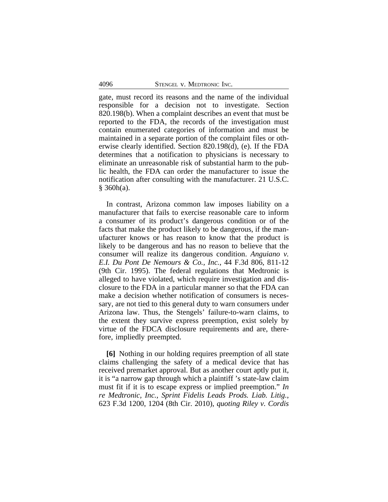gate, must record its reasons and the name of the individual responsible for a decision not to investigate. Section 820.198(b). When a complaint describes an event that must be reported to the FDA, the records of the investigation must contain enumerated categories of information and must be maintained in a separate portion of the complaint files or otherwise clearly identified. Section 820.198(d), (e). If the FDA determines that a notification to physicians is necessary to eliminate an unreasonable risk of substantial harm to the public health, the FDA can order the manufacturer to issue the notification after consulting with the manufacturer. 21 U.S.C.  $§$  360h(a).

In contrast, Arizona common law imposes liability on a manufacturer that fails to exercise reasonable care to inform a consumer of its product's dangerous condition or of the facts that make the product likely to be dangerous, if the manufacturer knows or has reason to know that the product is likely to be dangerous and has no reason to believe that the consumer will realize its dangerous condition. *Anguiano v. E.I. Du Pont De Nemours & Co., Inc.*, 44 F.3d 806, 811-12 (9th Cir. 1995). The federal regulations that Medtronic is alleged to have violated, which require investigation and disclosure to the FDA in a particular manner so that the FDA can make a decision whether notification of consumers is necessary, are not tied to this general duty to warn consumers under Arizona law. Thus, the Stengels' failure-to-warn claims, to the extent they survive express preemption, exist solely by virtue of the FDCA disclosure requirements and are, therefore, impliedly preempted.

**[6]** Nothing in our holding requires preemption of all state claims challenging the safety of a medical device that has received premarket approval. But as another court aptly put it, it is "a narrow gap through which a plaintiff 's state-law claim must fit if it is to escape express or implied preemption." *In re Medtronic, Inc., Sprint Fidelis Leads Prods. Liab. Litig.*, 623 F.3d 1200, 1204 (8th Cir. 2010), *quoting Riley v. Cordis*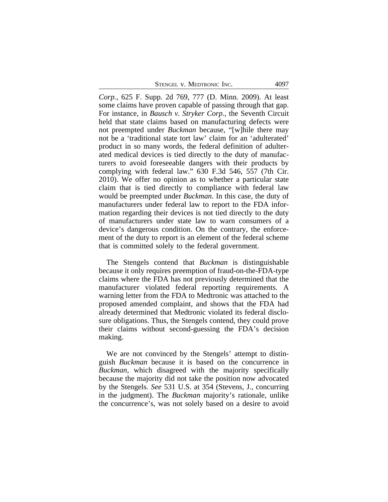| STENGEL V. MEDTRONIC INC. |  | 4097 |
|---------------------------|--|------|
|---------------------------|--|------|

*Corp.*, 625 F. Supp. 2d 769, 777 (D. Minn. 2009). At least some claims have proven capable of passing through that gap. For instance, in *Bausch v. Stryker Corp.*, the Seventh Circuit held that state claims based on manufacturing defects were not preempted under *Buckman* because, "[w]hile there may not be a 'traditional state tort law' claim for an 'adulterated' product in so many words, the federal definition of adulterated medical devices is tied directly to the duty of manufacturers to avoid foreseeable dangers with their products by complying with federal law." 630 F.3d 546, 557 (7th Cir. 2010). We offer no opinion as to whether a particular state claim that is tied directly to compliance with federal law would be preempted under *Buckman*. In this case, the duty of manufacturers under federal law to report to the FDA information regarding their devices is not tied directly to the duty of manufacturers under state law to warn consumers of a device's dangerous condition. On the contrary, the enforcement of the duty to report is an element of the federal scheme that is committed solely to the federal government.

The Stengels contend that *Buckman* is distinguishable because it only requires preemption of fraud-on-the-FDA-type claims where the FDA has not previously determined that the manufacturer violated federal reporting requirements. A warning letter from the FDA to Medtronic was attached to the proposed amended complaint, and shows that the FDA had already determined that Medtronic violated its federal disclosure obligations. Thus, the Stengels contend, they could prove their claims without second-guessing the FDA's decision making.

We are not convinced by the Stengels' attempt to distinguish *Buckman* because it is based on the concurrence in *Buckman*, which disagreed with the majority specifically because the majority did not take the position now advocated by the Stengels. *See* 531 U.S. at 354 (Stevens, J., concurring in the judgment). The *Buckman* majority's rationale, unlike the concurrence's, was not solely based on a desire to avoid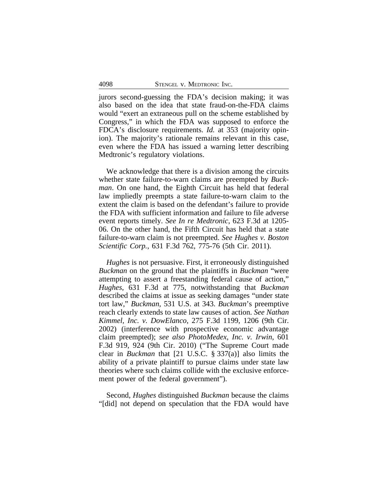jurors second-guessing the FDA's decision making; it was also based on the idea that state fraud-on-the-FDA claims would "exert an extraneous pull on the scheme established by Congress," in which the FDA was supposed to enforce the FDCA's disclosure requirements. *Id.* at 353 (majority opinion). The majority's rationale remains relevant in this case, even where the FDA has issued a warning letter describing Medtronic's regulatory violations.

We acknowledge that there is a division among the circuits whether state failure-to-warn claims are preempted by *Buckman*. On one hand, the Eighth Circuit has held that federal law impliedly preempts a state failure-to-warn claim to the extent the claim is based on the defendant's failure to provide the FDA with sufficient information and failure to file adverse event reports timely. *See In re Medtronic*, 623 F.3d at 1205- 06. On the other hand, the Fifth Circuit has held that a state failure-to-warn claim is not preempted. *See Hughes v. Boston Scientific Corp.*, 631 F.3d 762, 775-76 (5th Cir. 2011).

*Hughes* is not persuasive. First, it erroneously distinguished *Buckman* on the ground that the plaintiffs in *Buckman* "were attempting to assert a freestanding federal cause of action," *Hughes*, 631 F.3d at 775, notwithstanding that *Buckman* described the claims at issue as seeking damages "under state tort law," *Buckman*, 531 U.S. at 343. *Buckman*'s preemptive reach clearly extends to state law causes of action. *See Nathan Kimmel, Inc. v. DowElanco*, 275 F.3d 1199, 1206 (9th Cir. 2002) (interference with prospective economic advantage claim preempted); *see also PhotoMedex, Inc. v. Irwin*, 601 F.3d 919, 924 (9th Cir. 2010) ("The Supreme Court made clear in *Buckman* that [21 U.S.C. § 337(a)] also limits the ability of a private plaintiff to pursue claims under state law theories where such claims collide with the exclusive enforcement power of the federal government").

Second, *Hughes* distinguished *Buckman* because the claims "[did] not depend on speculation that the FDA would have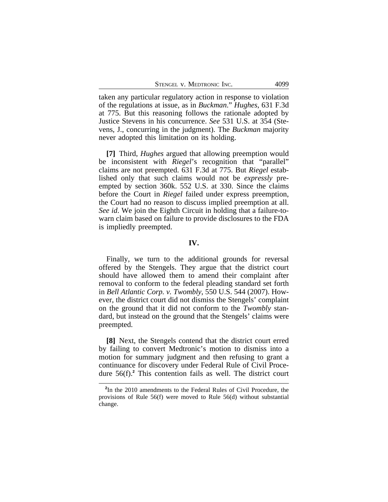taken any particular regulatory action in response to violation of the regulations at issue, as in *Buckman*." *Hughes*, 631 F.3d at 775. But this reasoning follows the rationale adopted by Justice Stevens in his concurrence. *See* 531 U.S. at 354 (Stevens, J., concurring in the judgment). The *Buckman* majority never adopted this limitation on its holding.

**[7]** Third, *Hughes* argued that allowing preemption would be inconsistent with *Riegel*'s recognition that "parallel" claims are not preempted. 631 F.3d at 775. But *Riegel* established only that such claims would not be *expressly* preempted by section 360k. 552 U.S. at 330. Since the claims before the Court in *Riegel* failed under express preemption, the Court had no reason to discuss implied preemption at all. *See id*. We join the Eighth Circuit in holding that a failure-towarn claim based on failure to provide disclosures to the FDA is impliedly preempted.

#### **IV.**

Finally, we turn to the additional grounds for reversal offered by the Stengels. They argue that the district court should have allowed them to amend their complaint after removal to conform to the federal pleading standard set forth in *Bell Atlantic Corp. v. Twombly*, 550 U.S. 544 (2007). However, the district court did not dismiss the Stengels' complaint on the ground that it did not conform to the *Twombly* standard, but instead on the ground that the Stengels' claims were preempted.

**[8]** Next, the Stengels contend that the district court erred by failing to convert Medtronic's motion to dismiss into a motion for summary judgment and then refusing to grant a continuance for discovery under Federal Rule of Civil Procedure 56(f).**<sup>2</sup>** This contention fails as well. The district court

**<sup>2</sup>** In the 2010 amendments to the Federal Rules of Civil Procedure, the provisions of Rule 56(f) were moved to Rule 56(d) without substantial change.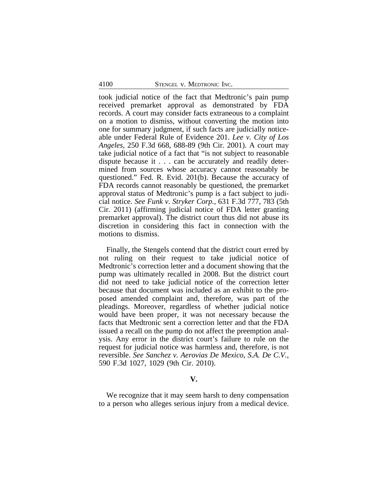took judicial notice of the fact that Medtronic's pain pump received premarket approval as demonstrated by FDA records. A court may consider facts extraneous to a complaint on a motion to dismiss, without converting the motion into one for summary judgment, if such facts are judicially noticeable under Federal Rule of Evidence 201. *Lee v. City of Los Angeles*, 250 F.3d 668, 688-89 (9th Cir. 2001). A court may take judicial notice of a fact that "is not subject to reasonable dispute because it . . . can be accurately and readily determined from sources whose accuracy cannot reasonably be questioned." Fed. R. Evid. 201(b). Because the accuracy of FDA records cannot reasonably be questioned, the premarket approval status of Medtronic's pump is a fact subject to judicial notice. *See Funk v. Stryker Corp.*, 631 F.3d 777, 783 (5th Cir. 2011) (affirming judicial notice of FDA letter granting premarket approval). The district court thus did not abuse its discretion in considering this fact in connection with the motions to dismiss.

Finally, the Stengels contend that the district court erred by not ruling on their request to take judicial notice of Medtronic's correction letter and a document showing that the pump was ultimately recalled in 2008. But the district court did not need to take judicial notice of the correction letter because that document was included as an exhibit to the proposed amended complaint and, therefore, was part of the pleadings. Moreover, regardless of whether judicial notice would have been proper, it was not necessary because the facts that Medtronic sent a correction letter and that the FDA issued a recall on the pump do not affect the preemption analysis. Any error in the district court's failure to rule on the request for judicial notice was harmless and, therefore, is not reversible. *See Sanchez v. Aerovias De Mexico*, *S.A. De C.V.*, 590 F.3d 1027, 1029 (9th Cir. 2010).

#### **V.**

We recognize that it may seem harsh to deny compensation to a person who alleges serious injury from a medical device.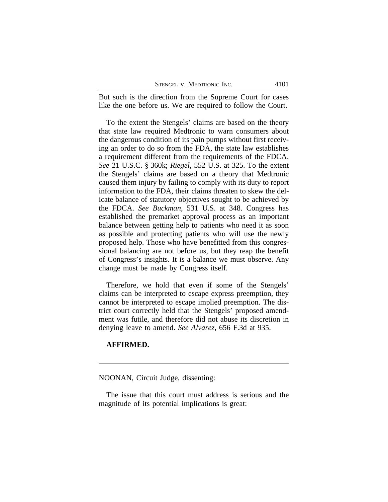But such is the direction from the Supreme Court for cases like the one before us. We are required to follow the Court.

To the extent the Stengels' claims are based on the theory that state law required Medtronic to warn consumers about the dangerous condition of its pain pumps without first receiving an order to do so from the FDA, the state law establishes a requirement different from the requirements of the FDCA. *See* 21 U.S.C. § 360k; *Riegel*, 552 U.S. at 325. To the extent the Stengels' claims are based on a theory that Medtronic caused them injury by failing to comply with its duty to report information to the FDA, their claims threaten to skew the delicate balance of statutory objectives sought to be achieved by the FDCA. *See Buckman*, 531 U.S. at 348. Congress has established the premarket approval process as an important balance between getting help to patients who need it as soon as possible and protecting patients who will use the newly proposed help. Those who have benefitted from this congressional balancing are not before us, but they reap the benefit of Congress's insights. It is a balance we must observe. Any change must be made by Congress itself.

Therefore, we hold that even if some of the Stengels' claims can be interpreted to escape express preemption, they cannot be interpreted to escape implied preemption. The district court correctly held that the Stengels' proposed amendment was futile, and therefore did not abuse its discretion in denying leave to amend. *See Alvarez*, 656 F.3d at 935.

# **AFFIRMED.**

NOONAN, Circuit Judge, dissenting:

The issue that this court must address is serious and the magnitude of its potential implications is great: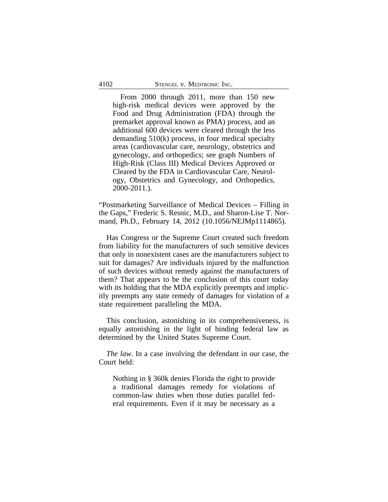From 2000 through 2011, more than 150 new high-risk medical devices were approved by the Food and Drug Administration (FDA) through the premarket approval known as PMA) process, and an additional 600 devices were cleared through the less demanding 510(k) process, in four medical specialty areas (cardiovascular care, neurology, obstetrics and gynecology, and orthopedics; see graph Numbers of High-Risk (Class III) Medical Devices Approved or Cleared by the FDA in Cardiovascular Care, Neurology, Obstetrics and Gynecology, and Orthopedics, 2000-2011.).

"Postmarketing Surveillance of Medical Devices – Filling in the Gaps," Frederic S. Resnic, M.D., and Sharon-Lise T. Normand, Ph.D., February 14, 2012 (10.1056/NEJMp1114865).

Has Congress or the Supreme Court created such freedom from liability for the manufacturers of such sensitive devices that only in nonexistent cases are the manufacturers subject to suit for damages? Are individuals injured by the malfunction of such devices without remedy against the manufacturers of them? That appears to be the conclusion of this court today with its holding that the MDA explicitly preempts and implicitly preempts any state remedy of damages for violation of a state requirement paralleling the MDA.

This conclusion, astonishing in its comprehensiveness, is equally astonishing in the light of binding federal law as determined by the United States Supreme Court.

*The law*. In a case involving the defendant in our case, the Court held:

Nothing in § 360k denies Florida the right to provide a traditional damages remedy for violations of common-law duties when those duties parallel federal requirements. Even if it may be necessary as a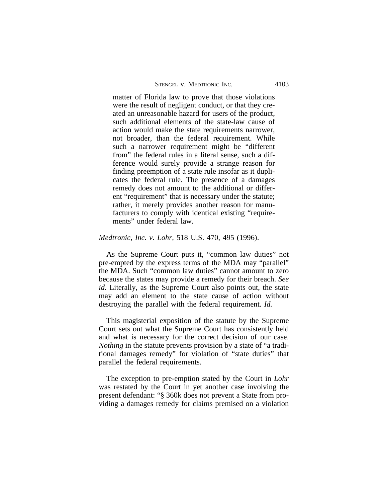matter of Florida law to prove that those violations were the result of negligent conduct, or that they created an unreasonable hazard for users of the product, such additional elements of the state-law cause of action would make the state requirements narrower, not broader, than the federal requirement. While such a narrower requirement might be "different from" the federal rules in a literal sense, such a difference would surely provide a strange reason for finding preemption of a state rule insofar as it duplicates the federal rule. The presence of a damages remedy does not amount to the additional or different "requirement" that is necessary under the statute; rather, it merely provides another reason for manufacturers to comply with identical existing "requirements" under federal law.

#### *Medtronic, Inc. v. Lohr,* 518 U.S. 470, 495 (1996).

As the Supreme Court puts it, "common law duties" not pre-empted by the express terms of the MDA may "parallel" the MDA. Such "common law duties" cannot amount to zero because the states may provide a remedy for their breach. *See id.* Literally, as the Supreme Court also points out, the state may add an element to the state cause of action without destroying the parallel with the federal requirement. *Id.*

This magisterial exposition of the statute by the Supreme Court sets out what the Supreme Court has consistently held and what is necessary for the correct decision of our case. *Nothing* in the statute prevents provision by a state of "a traditional damages remedy" for violation of "state duties" that parallel the federal requirements.

The exception to pre-emption stated by the Court in *Lohr* was restated by the Court in yet another case involving the present defendant: "§ 360k does not prevent a State from providing a damages remedy for claims premised on a violation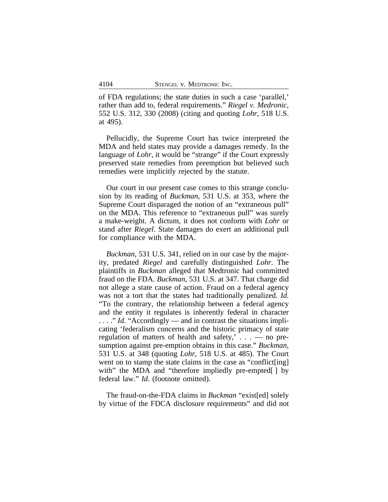of FDA regulations; the state duties in such a case 'parallel,' rather than add to, federal requirements." *Riegel v. Medronic*, 552 U.S. 312, 330 (2008) (citing and quoting *Lohr*, 518 U.S. at 495).

Pellucidly, the Supreme Court has twice interpreted the MDA and held states may provide a damages remedy. In the language of *Lohr*, it would be "strange" if the Court expressly preserved state remedies from preemption but believed such remedies were implicitly rejected by the statute.

Our court in our present case comes to this strange conclusion by its reading of *Buckman*, 531 U.S. at 353, where the Supreme Court disparaged the notion of an "extraneous pull" on the MDA. This reference to "extraneous pull" was surely a make-weight. A dictum, it does not conform with *Lohr* or stand after *Riegel*. State damages do exert an additional pull for compliance with the MDA.

*Buckman*, 531 U.S. 341, relied on in our case by the majority, predated *Riegel* and carefully distinguished *Lohr*. The plaintiffs in *Buckman* alleged that Medtronic had committed fraud on the FDA. *Buckman*, 531 U.S. at 347. That charge did not allege a state cause of action. Fraud on a federal agency was not a tort that the states had traditionally penalized. *Id.* "To the contrary, the relationship between a federal agency and the entity it regulates is inherently federal in character ...." *Id.* "Accordingly — and in contrast the situations implicating 'federalism concerns and the historic primacy of state regulation of matters of health and safety,' . . . — no presumption against pre-emption obtains in this case." *Buckman,* 531 U.S. at 348 (quoting *Lohr*, 518 U.S. at 485). The Court went on to stamp the state claims in the case as "conflict[ing] with" the MDA and "therefore impliedly pre-empted[] by federal law." *Id*. (footnote omitted).

The fraud-on-the-FDA claims in *Buckman* "exist[ed] solely by virtue of the FDCA disclosure requirements" and did not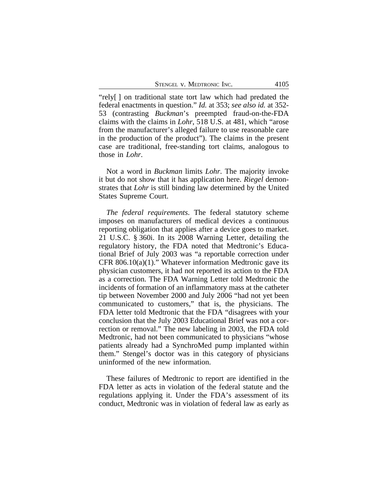STENGEL V. MEDTRONIC INC. 4105

"rely[ ] on traditional state tort law which had predated the federal enactments in question." *Id.* at 353; *see also id.* at 352- 53 (contrasting *Buckman*'s preempted fraud-on-the-FDA claims with the claims in *Lohr*, 518 U.S. at 481, which "arose from the manufacturer's alleged failure to use reasonable care in the production of the product"). The claims in the present case are traditional, free-standing tort claims, analogous to those in *Lohr*.

Not a word in *Buckman* limits *Lohr*. The majority invoke it but do not show that it has application here. *Riegel* demonstrates that *Lohr* is still binding law determined by the United States Supreme Court.

*The federal requirements*. The federal statutory scheme imposes on manufacturers of medical devices a continuous reporting obligation that applies after a device goes to market. 21 U.S.C. § 360i. In its 2008 Warning Letter, detailing the regulatory history, the FDA noted that Medtronic's Educational Brief of July 2003 was "a reportable correction under CFR 806.10(a)(1)." Whatever information Medtronic gave its physician customers, it had not reported its action to the FDA as a correction. The FDA Warning Letter told Medtronic the incidents of formation of an inflammatory mass at the catheter tip between November 2000 and July 2006 "had not yet been communicated to customers," that is, the physicians. The FDA letter told Medtronic that the FDA "disagrees with your conclusion that the July 2003 Educational Brief was not a correction or removal." The new labeling in 2003, the FDA told Medtronic, had not been communicated to physicians "whose patients already had a SynchroMed pump implanted within them." Stengel's doctor was in this category of physicians uninformed of the new information.

These failures of Medtronic to report are identified in the FDA letter as acts in violation of the federal statute and the regulations applying it. Under the FDA's assessment of its conduct, Medtronic was in violation of federal law as early as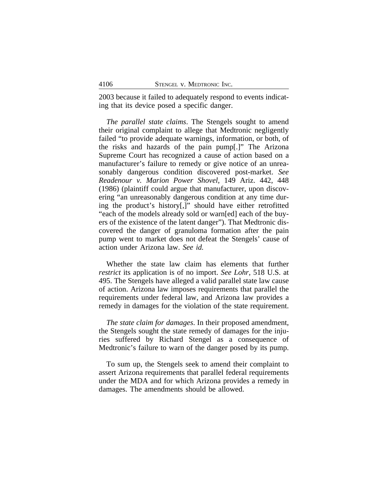2003 because it failed to adequately respond to events indicating that its device posed a specific danger.

*The parallel state claims*. The Stengels sought to amend their original complaint to allege that Medtronic negligently failed "to provide adequate warnings, information, or both, of the risks and hazards of the pain pump[.]" The Arizona Supreme Court has recognized a cause of action based on a manufacturer's failure to remedy or give notice of an unreasonably dangerous condition discovered post-market. *See Readenour v. Marion Power Shovel*, 149 Ariz. 442, 448 (1986) (plaintiff could argue that manufacturer, upon discovering "an unreasonably dangerous condition at any time during the product's history[,]" should have either retrofitted "each of the models already sold or warn[ed] each of the buyers of the existence of the latent danger"). That Medtronic discovered the danger of granuloma formation after the pain pump went to market does not defeat the Stengels' cause of action under Arizona law. *See id.*

Whether the state law claim has elements that further *restrict* its application is of no import. *See Lohr,* 518 U.S. at 495. The Stengels have alleged a valid parallel state law cause of action. Arizona law imposes requirements that parallel the requirements under federal law, and Arizona law provides a remedy in damages for the violation of the state requirement.

*The state claim for damages*. In their proposed amendment, the Stengels sought the state remedy of damages for the injuries suffered by Richard Stengel as a consequence of Medtronic's failure to warn of the danger posed by its pump.

To sum up, the Stengels seek to amend their complaint to assert Arizona requirements that parallel federal requirements under the MDA and for which Arizona provides a remedy in damages. The amendments should be allowed.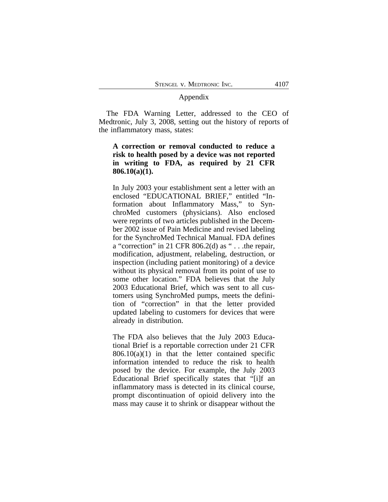## Appendix

The FDA Warning Letter, addressed to the CEO of Medtronic, July 3, 2008, setting out the history of reports of the inflammatory mass, states:

# **A correction or removal conducted to reduce a risk to health posed by a device was not reported in writing to FDA, as required by 21 CFR 806.10(a)(1).**

In July 2003 your establishment sent a letter with an enclosed "EDUCATIONAL BRIEF," entitled "Information about Inflammatory Mass," to SynchroMed customers (physicians). Also enclosed were reprints of two articles published in the December 2002 issue of Pain Medicine and revised labeling for the SynchroMed Technical Manual. FDA defines a "correction" in 21 CFR 806.2(d) as " . . .the repair, modification, adjustment, relabeling, destruction, or inspection (including patient monitoring) of a device without its physical removal from its point of use to some other location." FDA believes that the July 2003 Educational Brief, which was sent to all customers using SynchroMed pumps, meets the definition of "correction" in that the letter provided updated labeling to customers for devices that were already in distribution.

The FDA also believes that the July 2003 Educational Brief is a reportable correction under 21 CFR  $806.10(a)(1)$  in that the letter contained specific information intended to reduce the risk to health posed by the device. For example, the July 2003 Educational Brief specifically states that "[i]f an inflammatory mass is detected in its clinical course, prompt discontinuation of opioid delivery into the mass may cause it to shrink or disappear without the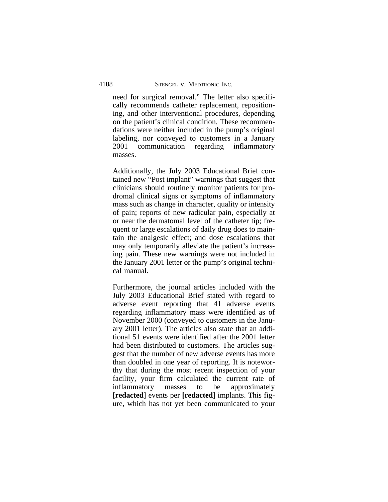need for surgical removal." The letter also specifically recommends catheter replacement, repositioning, and other interventional procedures, depending on the patient's clinical condition. These recommendations were neither included in the pump's original labeling, nor conveyed to customers in a January 2001 communication regarding inflammatory masses.

Additionally, the July 2003 Educational Brief contained new "Post implant" warnings that suggest that clinicians should routinely monitor patients for prodromal clinical signs or symptoms of inflammatory mass such as change in character, quality or intensity of pain; reports of new radicular pain, especially at or near the dermatomal level of the catheter tip; frequent or large escalations of daily drug does to maintain the analgesic effect; and dose escalations that may only temporarily alleviate the patient's increasing pain. These new warnings were not included in the January 2001 letter or the pump's original technical manual.

Furthermore, the journal articles included with the July 2003 Educational Brief stated with regard to adverse event reporting that 41 adverse events regarding inflammatory mass were identified as of November 2000 (conveyed to customers in the January 2001 letter). The articles also state that an additional 51 events were identified after the 2001 letter had been distributed to customers. The articles suggest that the number of new adverse events has more than doubled in one year of reporting. It is noteworthy that during the most recent inspection of your facility, your firm calculated the current rate of inflammatory masses to be approximately [**redacted**] events per **[redacted**] implants. This figure, which has not yet been communicated to your